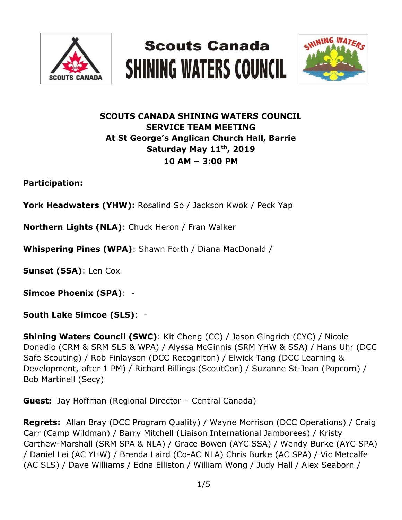





# **SCOUTS CANADA SHINING WATERS COUNCIL SERVICE TEAM MEETING At St George's Anglican Church Hall, Barrie Saturday May 11th, 2019 10 AM – 3:00 PM**

**Participation:** 

**York Headwaters (YHW):** Rosalind So / Jackson Kwok / Peck Yap

**Northern Lights (NLA)**: Chuck Heron / Fran Walker

**Whispering Pines (WPA)**: Shawn Forth / Diana MacDonald /

**Sunset (SSA)**: Len Cox

**Simcoe Phoenix (SPA)**: -

**South Lake Simcoe (SLS)**: -

**Shining Waters Council (SWC)**: Kit Cheng (CC) / Jason Gingrich (CYC) / Nicole Donadio (CRM & SRM SLS & WPA) / Alyssa McGinnis (SRM YHW & SSA) / Hans Uhr (DCC Safe Scouting) / Rob Finlayson (DCC Recogniton) / Elwick Tang (DCC Learning & Development, after 1 PM) / Richard Billings (ScoutCon) / Suzanne St-Jean (Popcorn) / Bob Martinell (Secy)

**Guest:** Jay Hoffman (Regional Director – Central Canada)

**Regrets:** Allan Bray (DCC Program Quality) / Wayne Morrison (DCC Operations) / Craig Carr (Camp Wildman) / Barry Mitchell (Liaison International Jamborees) / Kristy Carthew-Marshall (SRM SPA & NLA) / Grace Bowen (AYC SSA) / Wendy Burke (AYC SPA) / Daniel Lei (AC YHW) / Brenda Laird (Co-AC NLA) Chris Burke (AC SPA) / Vic Metcalfe (AC SLS) / Dave Williams / Edna Elliston / William Wong / Judy Hall / Alex Seaborn /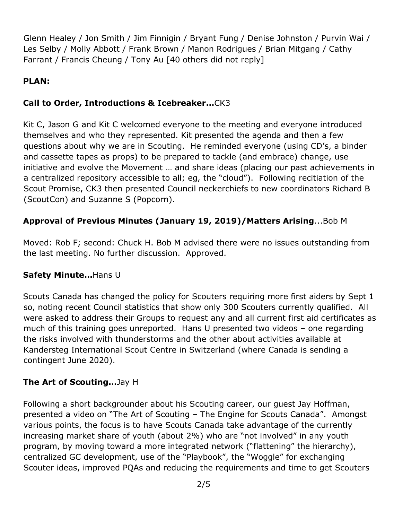Glenn Healey / Jon Smith / Jim Finnigin / Bryant Fung / Denise Johnston / Purvin Wai / Les Selby / Molly Abbott / Frank Brown / Manon Rodrigues / Brian Mitgang / Cathy Farrant / Francis Cheung / Tony Au [40 others did not reply]

## **PLAN:**

## **Call to Order, Introductions & Icebreaker…**CK3

Kit C, Jason G and Kit C welcomed everyone to the meeting and everyone introduced themselves and who they represented. Kit presented the agenda and then a few questions about why we are in Scouting. He reminded everyone (using CD's, a binder and cassette tapes as props) to be prepared to tackle (and embrace) change, use initiative and evolve the Movement … and share ideas (placing our past achievements in a centralized repository accessible to all; eg, the "cloud"). Following recitiation of the Scout Promise, CK3 then presented Council neckerchiefs to new coordinators Richard B (ScoutCon) and Suzanne S (Popcorn).

### **Approval of Previous Minutes (January 19, 2019)/Matters Arising**...Bob M

Moved: Rob F; second: Chuck H. Bob M advised there were no issues outstanding from the last meeting. No further discussion. Approved.

### **Safety Minute…**Hans U

Scouts Canada has changed the policy for Scouters requiring more first aiders by Sept 1 so, noting recent Council statistics that show only 300 Scouters currently qualified. All were asked to address their Groups to request any and all current first aid certificates as much of this training goes unreported. Hans U presented two videos – one regarding the risks involved with thunderstorms and the other about activities available at Kandersteg International Scout Centre in Switzerland (where Canada is sending a contingent June 2020).

### **The Art of Scouting…**Jay H

Following a short backgrounder about his Scouting career, our guest Jay Hoffman, presented a video on "The Art of Scouting – The Engine for Scouts Canada". Amongst various points, the focus is to have Scouts Canada take advantage of the currently increasing market share of youth (about 2%) who are "not involved" in any youth program, by moving toward a more integrated network ("flattening" the hierarchy), centralized GC development, use of the "Playbook", the "Woggle" for exchanging Scouter ideas, improved PQAs and reducing the requirements and time to get Scouters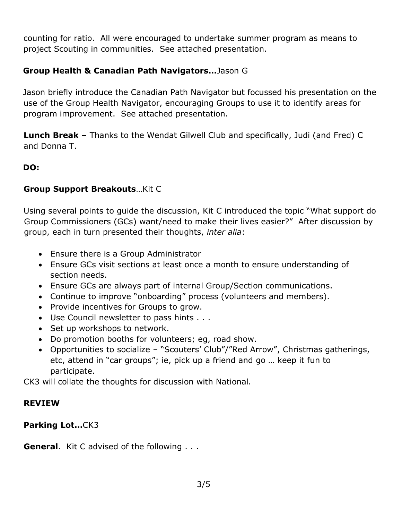counting for ratio. All were encouraged to undertake summer program as means to project Scouting in communities. See attached presentation.

### **Group Health & Canadian Path Navigators…**Jason G

Jason briefly introduce the Canadian Path Navigator but focussed his presentation on the use of the Group Health Navigator, encouraging Groups to use it to identify areas for program improvement. See attached presentation.

**Lunch Break –** Thanks to the Wendat Gilwell Club and specifically, Judi (and Fred) C and Donna T.

#### **DO:**

#### **Group Support Breakouts**…Kit C

Using several points to guide the discussion, Kit C introduced the topic "What support do Group Commissioners (GCs) want/need to make their lives easier?" After discussion by group, each in turn presented their thoughts, *inter alia*:

- Ensure there is a Group Administrator
- Ensure GCs visit sections at least once a month to ensure understanding of section needs.
- Ensure GCs are always part of internal Group/Section communications.
- Continue to improve "onboarding" process (volunteers and members).
- Provide incentives for Groups to grow.
- Use Council newsletter to pass hints . . .
- Set up workshops to network.
- Do promotion booths for volunteers; eg, road show.
- Opportunities to socialize "Scouters' Club"/"Red Arrow", Christmas gatherings, etc, attend in "car groups"; ie, pick up a friend and go … keep it fun to participate.

CK3 will collate the thoughts for discussion with National.

#### **REVIEW**

**Parking Lot…**CK3

**General**. Kit C advised of the following . . .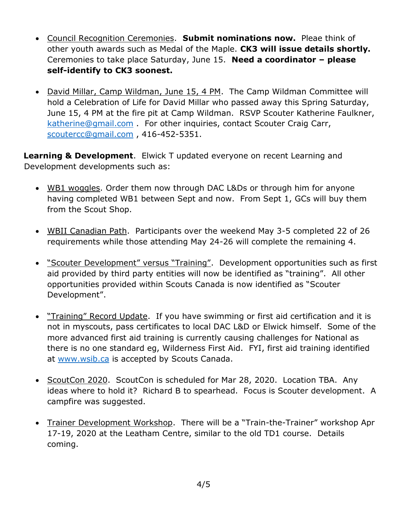- Council Recognition Ceremonies. **Submit nominations now.** Pleae think of other youth awards such as Medal of the Maple. **CK3 will issue details shortly.** Ceremonies to take place Saturday, June 15. **Need a coordinator – please self-identify to CK3 soonest.**
- David Millar, Camp Wildman, June 15, 4 PM. The Camp Wildman Committee will hold a Celebration of Life for David Millar who passed away this Spring Saturday, June 15, 4 PM at the fire pit at Camp Wildman. RSVP Scouter Katherine Faulkner, [katherine@gmail.com](mailto:katherine@gmail.com) . For other inquiries, contact Scouter Craig Carr, [scoutercc@gmail.com](mailto:scoutercc@gmail.com) , 416-452-5351.

**Learning & Development**. Elwick T updated everyone on recent Learning and Development developments such as:

- WB1 woggles. Order them now through DAC L&Ds or through him for anyone having completed WB1 between Sept and now. From Sept 1, GCs will buy them from the Scout Shop.
- WBII Canadian Path. Participants over the weekend May 3-5 completed 22 of 26 requirements while those attending May 24-26 will complete the remaining 4.
- "Scouter Development" versus "Training". Development opportunities such as first aid provided by third party entities will now be identified as "training". All other opportunities provided within Scouts Canada is now identified as "Scouter Development".
- "Training" Record Update. If you have swimming or first aid certification and it is not in myscouts, pass certificates to local DAC L&D or Elwick himself. Some of the more advanced first aid training is currently causing challenges for National as there is no one standard eg, Wilderness First Aid. FYI, first aid training identified at [www.wsib.ca](http://www.wsib.ca/) is accepted by Scouts Canada.
- ScoutCon 2020. ScoutCon is scheduled for Mar 28, 2020. Location TBA. Any ideas where to hold it? Richard B to spearhead. Focus is Scouter development. A campfire was suggested.
- Trainer Development Workshop. There will be a "Train-the-Trainer" workshop Apr 17-19, 2020 at the Leatham Centre, similar to the old TD1 course. Details coming.